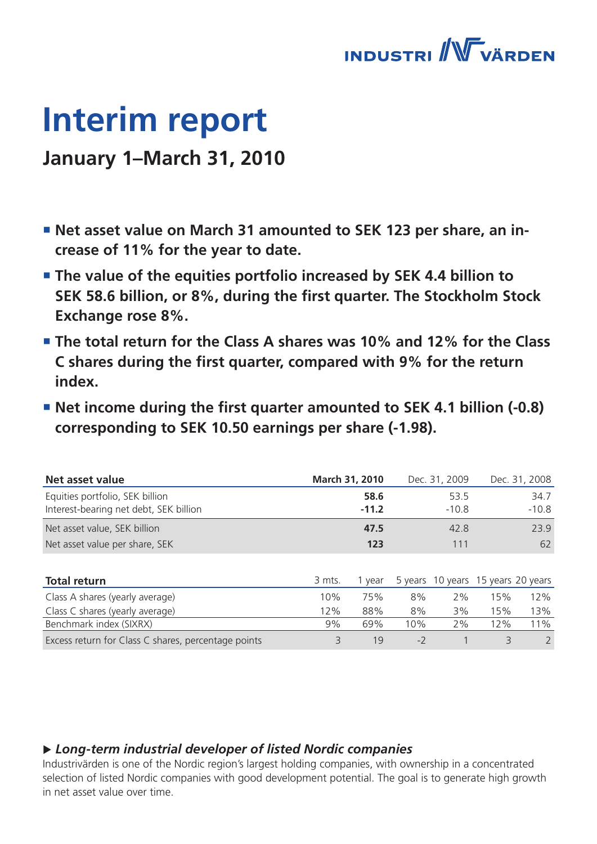

# **Interim report**

### **January 1–March 31, 2010**

- **Net asset value on March 31 amounted to SEK 123 per share, an increase of 11% for the year to date.**
- **The value of the equities portfolio increased by SEK 4.4 billion to SEK 58.6 billion, or 8%, during the first quarter. The Stockholm Stock Exchange rose 8%.**
- **The total return for the Class A shares was 10% and 12% for the Class C shares during the first quarter, compared with 9% for the return index.**
- Net income during the first quarter amounted to SEK 4.1 billion (-0.8) **corresponding to SEK 10.50 earnings per share (-1.98).**

| Net asset value                                     |        | March 31, 2010 |      | Dec. 31, 2009                      |     | Dec. 31, 2008 |
|-----------------------------------------------------|--------|----------------|------|------------------------------------|-----|---------------|
| Equities portfolio, SEK billion                     |        | 58.6           |      | 53.5                               |     | 34.7          |
| Interest-bearing net debt, SEK billion              |        | $-11.2$        |      | $-10.8$                            |     | $-10.8$       |
| Net asset value, SEK billion                        |        | 47.5           |      | 42.8                               |     | 23.9          |
| Net asset value per share, SEK                      |        | 123            |      | 111                                |     | 62            |
|                                                     |        |                |      |                                    |     |               |
| <b>Total return</b>                                 | 3 mts. | 1 year         |      | 5 years 10 years 15 years 20 years |     |               |
| Class A shares (yearly average)                     | 10%    | 75%            | 8%   | 2%                                 | 15% | 12%           |
| Class C shares (yearly average)                     | 12%    | 88%            | 8%   | 3%                                 | 15% | 13%           |
| Benchmark index (SIXRX)                             | 9%     | 69%            | 10%  | 2%                                 | 12% | 11%           |
| Excess return for Class C shares, percentage points | 3      | 19             | $-2$ |                                    | 3   | 2             |

### u *Long-term industrial developer of listed Nordic companies*

Industrivärden is one of the Nordic region's largest holding companies, with ownership in a concentrated selection of listed Nordic companies with good development potential. The goal is to generate high growth in net asset value over time.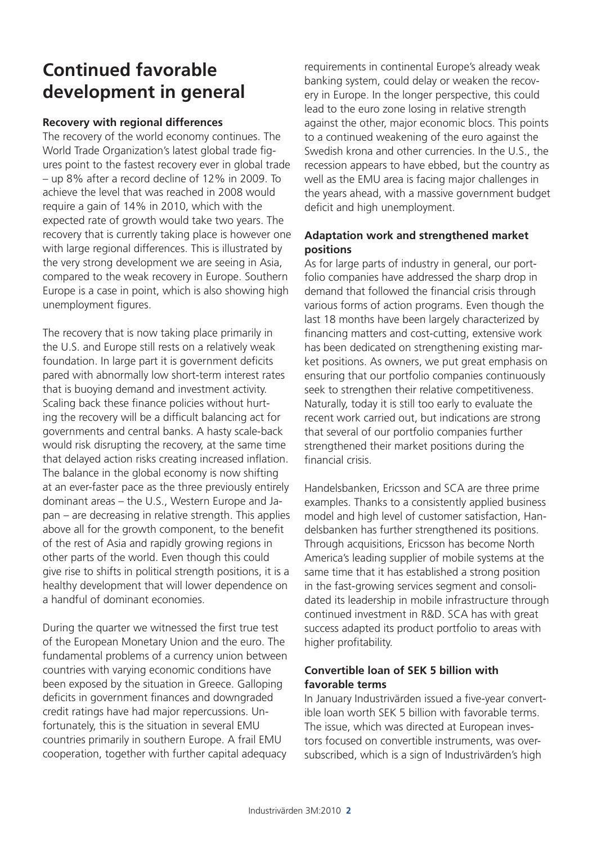### **Continued favorable development in general**

### **Recovery with regional differences**

The recovery of the world economy continues. The World Trade Organization's latest global trade figures point to the fastest recovery ever in global trade – up 8% after a record decline of 12% in 2009. To achieve the level that was reached in 2008 would require a gain of 14% in 2010, which with the expected rate of growth would take two years. The recovery that is currently taking place is however one with large regional differences. This is illustrated by the very strong development we are seeing in Asia, compared to the weak recovery in Europe. Southern Europe is a case in point, which is also showing high unemployment figures.

The recovery that is now taking place primarily in the U.S. and Europe still rests on a relatively weak foundation. In large part it is government deficits pared with abnormally low short-term interest rates that is buoying demand and investment activity. Scaling back these finance policies without hurting the recovery will be a difficult balancing act for governments and central banks. A hasty scale-back would risk disrupting the recovery, at the same time that delayed action risks creating increased inflation. The balance in the global economy is now shifting at an ever-faster pace as the three previously entirely dominant areas – the U.S., Western Europe and Japan – are decreasing in relative strength. This applies above all for the growth component, to the benefit of the rest of Asia and rapidly growing regions in other parts of the world. Even though this could give rise to shifts in political strength positions, it is a healthy development that will lower dependence on a handful of dominant economies.

During the quarter we witnessed the first true test of the European Monetary Union and the euro. The fundamental problems of a currency union between countries with varying economic conditions have been exposed by the situation in Greece. Galloping deficits in government finances and downgraded credit ratings have had major repercussions. Unfortunately, this is the situation in several EMU countries primarily in southern Europe. A frail EMU cooperation, together with further capital adequacy requirements in continental Europe's already weak banking system, could delay or weaken the recovery in Europe. In the longer perspective, this could lead to the euro zone losing in relative strength against the other, major economic blocs. This points to a continued weakening of the euro against the Swedish krona and other currencies. In the U.S., the recession appears to have ebbed, but the country as well as the EMU area is facing major challenges in the years ahead, with a massive government budget deficit and high unemployment.

### **Adaptation work and strengthened market positions**

As for large parts of industry in general, our portfolio companies have addressed the sharp drop in demand that followed the financial crisis through various forms of action programs. Even though the last 18 months have been largely characterized by financing matters and cost-cutting, extensive work has been dedicated on strengthening existing market positions. As owners, we put great emphasis on ensuring that our portfolio companies continuously seek to strengthen their relative competitiveness. Naturally, today it is still too early to evaluate the recent work carried out, but indications are strong that several of our portfolio companies further strengthened their market positions during the financial crisis.

Handelsbanken, Ericsson and SCA are three prime examples. Thanks to a consistently applied business model and high level of customer satisfaction, Handelsbanken has further strengthened its positions. Through acquisitions, Ericsson has become North America's leading supplier of mobile systems at the same time that it has established a strong position in the fast-growing services segment and consolidated its leadership in mobile infrastructure through continued investment in R&D. SCA has with great success adapted its product portfolio to areas with higher profitability.

### **Convertible loan of SEK 5 billion with favorable terms**

In January Industrivärden issued a five-year convertible loan worth SEK 5 billion with favorable terms. The issue, which was directed at European investors focused on convertible instruments, was oversubscribed, which is a sign of Industrivärden's high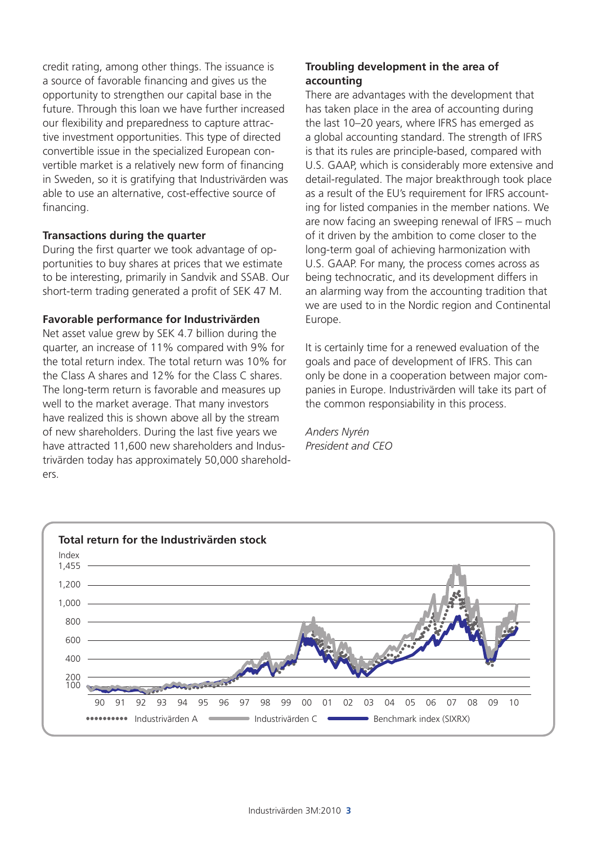credit rating, among other things. The issuance is a source of favorable financing and gives us the opportunity to strengthen our capital base in the future. Through this loan we have further increased our flexibility and preparedness to capture attractive investment opportunities. This type of directed convertible issue in the specialized European convertible market is a relatively new form of financing in Sweden, so it is gratifying that Industrivärden was able to use an alternative, cost-effective source of financing.

### **Transactions during the quarter**

During the first quarter we took advantage of opportunities to buy shares at prices that we estimate to be interesting, primarily in Sandvik and SSAB. Our short-term trading generated a profit of SEK 47 M.

#### **Favorable performance for Industrivärden**

Net asset value grew by SEK 4.7 billion during the quarter, an increase of 11% compared with 9% for the total return index. The total return was 10% for the Class A shares and 12% for the Class C shares. The long-term return is favorable and measures up well to the market average. That many investors have realized this is shown above all by the stream of new shareholders. During the last five years we have attracted 11,600 new shareholders and Industrivärden today has approximately 50,000 shareholders.

### **Troubling development in the area of accounting**

There are advantages with the development that has taken place in the area of accounting during the last 10–20 years, where IFRS has emerged as a global accounting standard. The strength of IFRS is that its rules are principle-based, compared with U.S. GAAP, which is considerably more extensive and detail-regulated. The major breakthrough took place as a result of the EU's requirement for IFRS accounting for listed companies in the member nations. We are now facing an sweeping renewal of IFRS – much of it driven by the ambition to come closer to the long-term goal of achieving harmonization with U.S. GAAP. For many, the process comes across as being technocratic, and its development differs in an alarming way from the accounting tradition that we are used to in the Nordic region and Continental Europe.

It is certainly time for a renewed evaluation of the goals and pace of development of IFRS. This can only be done in a cooperation between major companies in Europe. Industrivärden will take its part of the common responsiability in this process.

*Anders Nyrén President and CEO*

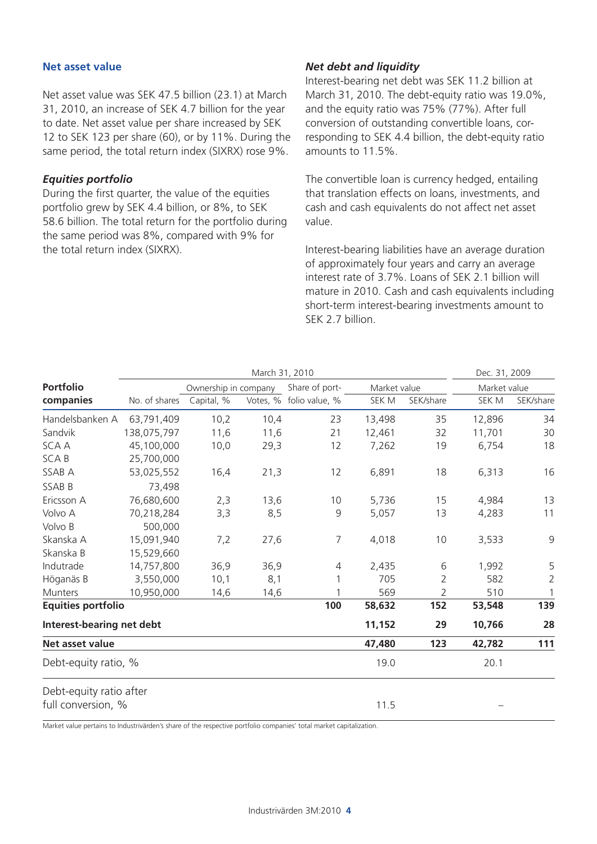#### **Net asset value**

Net asset value was SEK 47.5 billion (23.1) at March 31, 2010, an increase of SEK 4.7 billion for the year to date. Net asset value per share increased by SEK 12 to SEK 123 per share (60), or by 11%. During the same period, the total return index (SIXRX) rose 9%.

### *Equities portfolio*

During the first quarter, the value of the equities portfolio grew by SEK 4.4 billion, or 8%, to SEK 58.6 billion. The total return for the portfolio during the same period was 8%, compared with 9% for the total return index (SIXRX).

### *Net debt and liquidity*

Interest-bearing net debt was SEK 11.2 billion at March 31, 2010. The debt-equity ratio was 19.0%, and the equity ratio was 75% (77%). After full conversion of outstanding convertible loans, corresponding to SEK 4.4 billion, the debt-equity ratio amounts to 11.5%.

The convertible loan is currency hedged, entailing that translation effects on loans, investments, and cash and cash equivalents do not affect net asset value.

Interest-bearing liabilities have an average duration of approximately four years and carry an average interest rate of 3.7%. Loans of SEK 2.1 billion will mature in 2010. Cash and cash equivalents including short-term interest-bearing investments amount to SEK 2.7 billion.

|                           |               |                      | March 31, 2010 |                |              |                | Dec. 31, 2009 |                |
|---------------------------|---------------|----------------------|----------------|----------------|--------------|----------------|---------------|----------------|
| <b>Portfolio</b>          |               | Ownership in company |                | Share of port- | Market value |                | Market value  |                |
| companies                 | No. of shares | Capital, %           | Votes, %       | folio value, % | SEK M        | SEK/share      | SEK M         | SEK/share      |
| Handelsbanken A           | 63,791,409    | 10,2                 | 10,4           | 23             | 13,498       | 35             | 12,896        | 34             |
| Sandvik                   | 138,075,797   | 11,6                 | 11,6           | 21             | 12,461       | 32             | 11,701        | 30             |
| <b>SCAA</b>               | 45,100,000    | 10,0                 | 29,3           | 12             | 7,262        | 19             | 6,754         | 18             |
| <b>SCAB</b>               | 25,700,000    |                      |                |                |              |                |               |                |
| SSAB A                    | 53,025,552    | 16,4                 | 21,3           | 12             | 6,891        | 18             | 6,313         | 16             |
| SSAB B                    | 73,498        |                      |                |                |              |                |               |                |
| Ericsson A                | 76,680,600    | 2,3                  | 13,6           | 10             | 5,736        | 15             | 4,984         | 13             |
| Volvo A                   | 70,218,284    | 3,3                  | 8,5            | 9              | 5,057        | 13             | 4,283         | 11             |
| Volvo B                   | 500,000       |                      |                |                |              |                |               |                |
| Skanska A                 | 15,091,940    | 7,2                  | 27,6           | $\overline{7}$ | 4,018        | 10             | 3,533         | 9              |
| Skanska B                 | 15,529,660    |                      |                |                |              |                |               |                |
| Indutrade                 | 14,757,800    | 36,9                 | 36,9           | 4              | 2,435        | 6              | 1,992         | 5              |
| Höganäs B                 | 3,550,000     | 10,1                 | 8,1            |                | 705          | $\overline{2}$ | 582           | $\overline{2}$ |
| <b>Munters</b>            | 10,950,000    | 14,6                 | 14,6           |                | 569          | 2              | 510           | 1              |
| <b>Equities portfolio</b> |               |                      |                | 100            | 58,632       | 152            | 53,548        | 139            |
| Interest-bearing net debt |               |                      |                |                | 11,152       | 29             | 10,766        | 28             |
| Net asset value           |               |                      |                |                | 47,480       | 123            | 42,782        | 111            |
| Debt-equity ratio, %      |               |                      |                |                | 19.0         |                | 20.1          |                |
| Debt-equity ratio after   |               |                      |                |                |              |                |               |                |
| full conversion, %        |               |                      |                |                | 11.5         |                |               |                |

Market value pertains to Industrivärden's share of the respective portfolio companies' total market capitalization.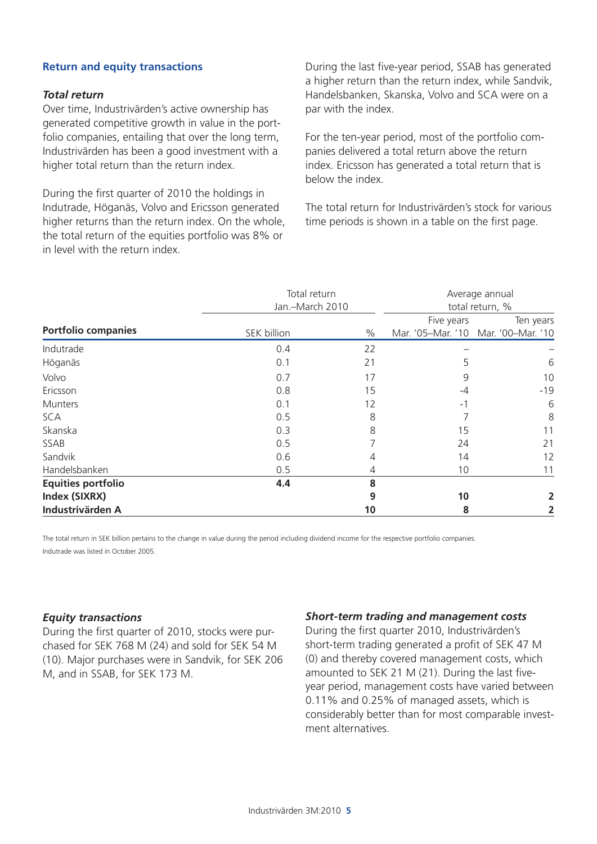### **Return and equity transactions**

#### *Total return*

Over time, Industrivärden's active ownership has generated competitive growth in value in the portfolio companies, entailing that over the long term, Industrivärden has been a good investment with a higher total return than the return index.

During the first quarter of 2010 the holdings in Indutrade, Höganäs, Volvo and Ericsson generated higher returns than the return index. On the whole, the total return of the equities portfolio was 8% or in level with the return index.

During the last five-year period, SSAB has generated a higher return than the return index, while Sandvik, Handelsbanken, Skanska, Volvo and SCA were on a par with the index.

For the ten-year period, most of the portfolio companies delivered a total return above the return index. Ericsson has generated a total return that is below the index.

The total return for Industrivärden's stock for various time periods is shown in a table on the first page.

|                            | Total return<br>Jan.-March 2010 | Average annual<br>total return, % |            |                                     |
|----------------------------|---------------------------------|-----------------------------------|------------|-------------------------------------|
| <b>Portfolio companies</b> |                                 |                                   | Five years | Ten years                           |
|                            | SEK billion                     | $\%$                              |            | Mar. '05-Mar. '10 Mar. '00-Mar. '10 |
| Indutrade                  | 0.4                             | 22                                |            |                                     |
| Höganäs                    | 0.1                             | 21                                | 5          | 6                                   |
| Volvo                      | 0.7                             | 17                                | 9          | 10                                  |
| Ericsson                   | 0.8                             | 15                                | $-4$       | $-19$                               |
| Munters                    | 0.1                             | 12                                | $-1$       | 6                                   |
| <b>SCA</b>                 | 0.5                             | 8                                 |            | 8                                   |
| Skanska                    | 0.3                             | 8                                 | 15         | 11                                  |
| SSAB                       | 0.5                             | 7                                 | 24         | 21                                  |
| Sandvik                    | 0.6                             | 4                                 | 14         | 12                                  |
| Handelsbanken              | 0.5                             | 4                                 | 10         | 11                                  |
| <b>Equities portfolio</b>  | 4.4                             | 8                                 |            |                                     |
| Index (SIXRX)              |                                 | 9                                 | 10         |                                     |
| Industrivärden A           |                                 | 10                                | 8          |                                     |

The total return in SEK billion pertains to the change in value during the period including dividend income for the respective portfolio companies. Indutrade was listed in October 2005.

#### *Equity transactions*

During the first quarter of 2010, stocks were purchased for SEK 768 M (24) and sold for SEK 54 M (10). Major purchases were in Sandvik, for SEK 206 M, and in SSAB, for SEK 173 M.

#### *Short-term trading and management costs*

During the first quarter 2010, Industrivärden's short-term trading generated a profit of SEK 47 M (0) and thereby covered management costs, which amounted to SEK 21 M (21). During the last fiveyear period, management costs have varied between 0.11% and 0.25% of managed assets, which is considerably better than for most comparable investment alternatives.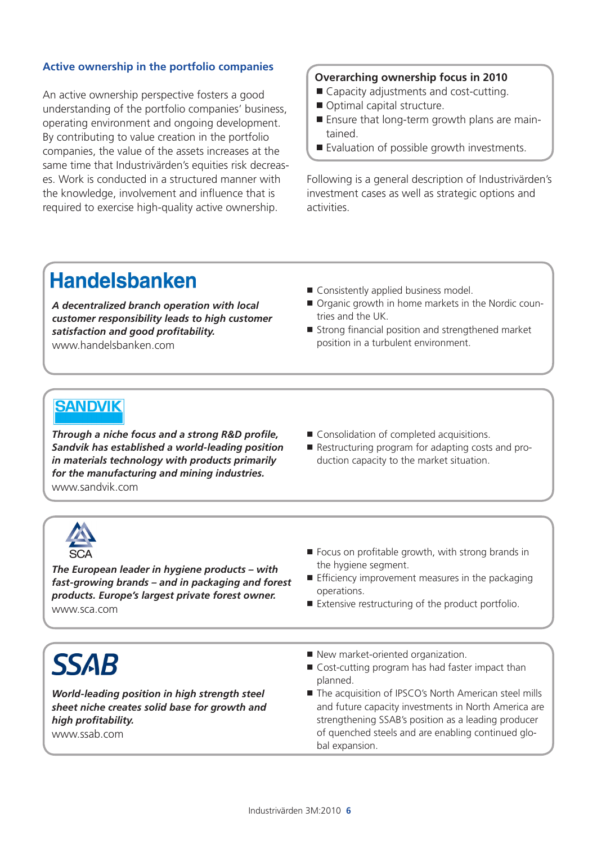### **Active ownership in the portfolio companies**

An active ownership perspective fosters a good understanding of the portfolio companies' business, operating environment and ongoing development. By contributing to value creation in the portfolio companies, the value of the assets increases at the same time that Industrivärden's equities risk decreases. Work is conducted in a structured manner with the knowledge, involvement and influence that is required to exercise high-quality active ownership.

### **Overarching ownership focus in 2010**

- Capacity adjustments and cost-cutting.
- Optimal capital structure.
- Ensure that long-term growth plans are maintained.
- Evaluation of possible growth investments.

Following is a general description of Industrivärden's investment cases as well as strategic options and activities.

### **Handelsbanken**

*A decentralized branch operation with local customer responsibility leads to high customer satisfaction and good profitability.* www.handelsbanken.com

- Consistently applied business model.
- Organic growth in home markets in the Nordic countries and the UK.
- Strong financial position and strengthened market position in a turbulent environment.

### **SANDVIK**

*Through a niche focus and a strong R&D profile, Sandvik has established a world-leading position in materials technology with products primarily for the manufacturing and mining industries.* www.sandvik.com

- Consolidation of completed acquisitions.
- Restructuring program for adapting costs and production capacity to the market situation.



*The European leader in hygiene products – with fast-growing brands – and in packaging and forest products. Europe's largest private forest owner.* www.sca.com

- Focus on profitable growth, with strong brands in the hygiene segment.
- $\blacksquare$  Efficiency improvement measures in the packaging operations.
- Extensive restructuring of the product portfolio.

# **SSAB**

*World-leading position in high strength steel sheet niche creates solid base for growth and high profitability.* www.ssab.com

- New market-oriented organization.
- Cost-cutting program has had faster impact than planned.
- The acquisition of IPSCO's North American steel mills and future capacity investments in North America are strengthening SSAB's position as a leading producer of quenched steels and are enabling continued global expansion.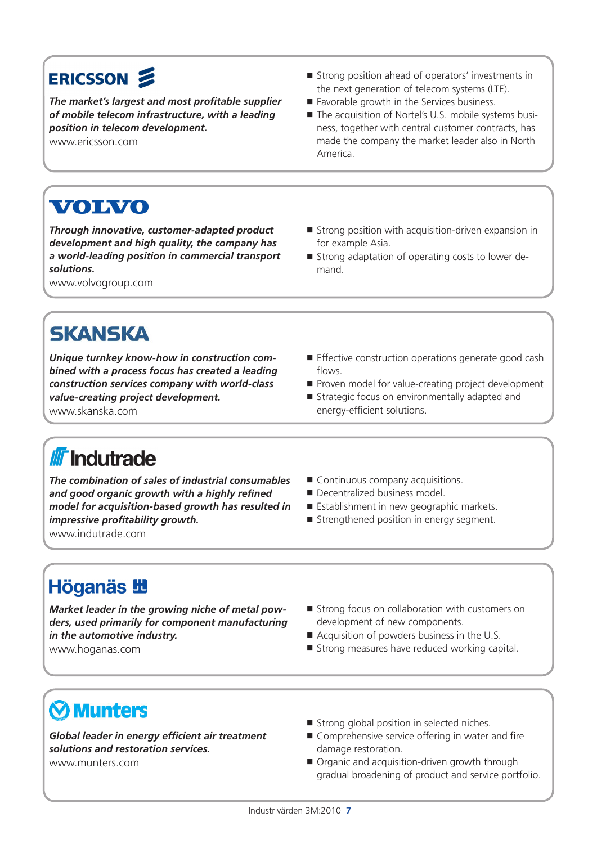### ERICSSON &

*The market's largest and most profitable supplier of mobile telecom infrastructure, with a leading position in telecom development.*  www.ericsson.com

- Strong position ahead of operators' investments in the next generation of telecom systems (LTE).
- Favorable growth in the Services business.
- The acquisition of Nortel's U.S. mobile systems business, together with central customer contracts, has made the company the market leader also in North America.

## VOIVO

*Through innovative, customer-adapted product development and high quality, the company has a world-leading position in commercial transport solutions.* 

www.volvogroup.com

### $\blacksquare$  Strong position with acquisition-driven expansion in for example Asia.

■ Strong adaptation of operating costs to lower demand.

### **SKANSKA**

*Unique turnkey know-how in construction combined with a process focus has created a leading construction services company with world-class value-creating project development.*

www.skanska.com

#### **Effective construction operations generate good cash** flows. Proven model for value-creating project development

■ Strategic focus on environmentally adapted and energy-efficient solutions.

# **III** Indutrade

*The combination of sales of industrial consumables and good organic growth with a highly refined model for acquisition-based growth has resulted in impressive profitability growth.*

www.indutrade.com

- Continuous company acquisitions.
- Decentralized business model
- Establishment in new geographic markets.
- Strengthened position in energy segment.

## **Höganäs 地**

*Market leader in the growing niche of metal powders, used primarily for component manufacturing in the automotive industry.*

www.hoganas.com

- Strong focus on collaboration with customers on development of new components.
- Acquisition of powders business in the U.S.
- $\blacksquare$  Strong measures have reduced working capital.

# **Munters**

*Global leader in energy efficient air treatment solutions and restoration services.* www.munters.com

- Strong global position in selected niches.
- Comprehensive service offering in water and fire damage restoration.
- Organic and acquisition-driven growth through gradual broadening of product and service portfolio.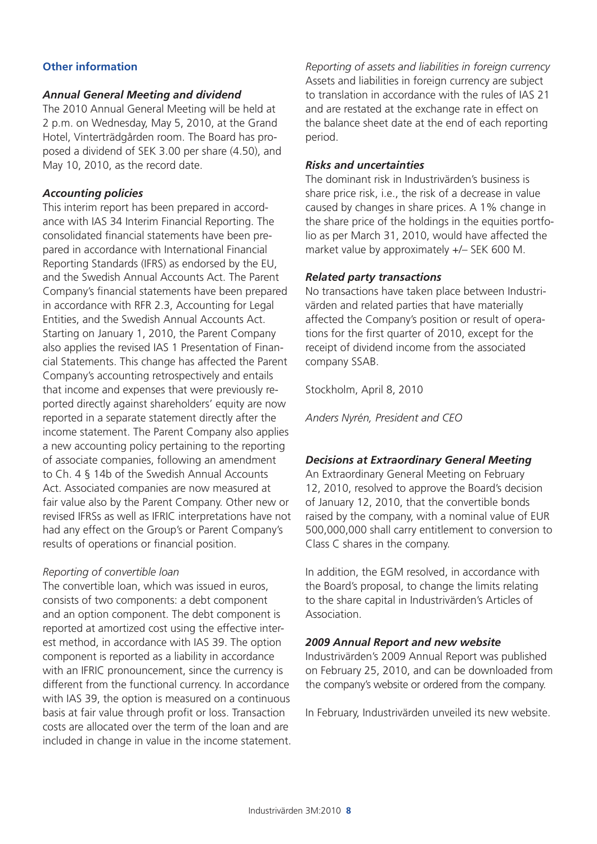### **Other information**

### *Annual General Meeting and dividend*

The 2010 Annual General Meeting will be held at 2 p.m. on Wednesday, May 5, 2010, at the Grand Hotel, Vinterträdgården room. The Board has proposed a dividend of SEK 3.00 per share (4.50), and May 10, 2010, as the record date.

### *Accounting policies*

This interim report has been prepared in accordance with IAS 34 Interim Financial Reporting. The consolidated financial statements have been prepared in accordance with International Financial Reporting Standards (IFRS) as endorsed by the EU, and the Swedish Annual Accounts Act. The Parent Company's financial statements have been prepared in accordance with RFR 2.3, Accounting for Legal Entities, and the Swedish Annual Accounts Act. Starting on January 1, 2010, the Parent Company also applies the revised IAS 1 Presentation of Financial Statements. This change has affected the Parent Company's accounting retrospectively and entails that income and expenses that were previously reported directly against shareholders' equity are now reported in a separate statement directly after the income statement. The Parent Company also applies a new accounting policy pertaining to the reporting of associate companies, following an amendment to Ch. 4 § 14b of the Swedish Annual Accounts Act. Associated companies are now measured at fair value also by the Parent Company. Other new or revised IFRSs as well as IFRIC interpretations have not had any effect on the Group's or Parent Company's results of operations or financial position.

### *Reporting of convertible loan*

The convertible loan, which was issued in euros, consists of two components: a debt component and an option component. The debt component is reported at amortized cost using the effective interest method, in accordance with IAS 39. The option component is reported as a liability in accordance with an IFRIC pronouncement, since the currency is different from the functional currency. In accordance with IAS 39, the option is measured on a continuous basis at fair value through profit or loss. Transaction costs are allocated over the term of the loan and are included in change in value in the income statement.

*Reporting of assets and liabilities in foreign currency* Assets and liabilities in foreign currency are subject to translation in accordance with the rules of IAS 21 and are restated at the exchange rate in effect on the balance sheet date at the end of each reporting period.

### *Risks and uncertainties*

The dominant risk in Industrivärden's business is share price risk, i.e., the risk of a decrease in value caused by changes in share prices. A 1% change in the share price of the holdings in the equities portfolio as per March 31, 2010, would have affected the market value by approximately +/– SEK 600 M.

### *Related party transactions*

No transactions have taken place between Industrivärden and related parties that have materially affected the Company's position or result of operations for the first quarter of 2010, except for the receipt of dividend income from the associated company SSAB.

Stockholm, April 8, 2010

*Anders Nyrén, President and CEO*

#### *Decisions at Extraordinary General Meeting*

An Extraordinary General Meeting on February 12, 2010, resolved to approve the Board's decision of January 12, 2010, that the convertible bonds raised by the company, with a nominal value of EUR 500,000,000 shall carry entitlement to conversion to Class C shares in the company.

In addition, the EGM resolved, in accordance with the Board's proposal, to change the limits relating to the share capital in Industrivärden's Articles of Association.

### *2009 Annual Report and new website*

Industrivärden's 2009 Annual Report was published on February 25, 2010, and can be downloaded from the company's website or ordered from the company.

In February, Industrivärden unveiled its new website.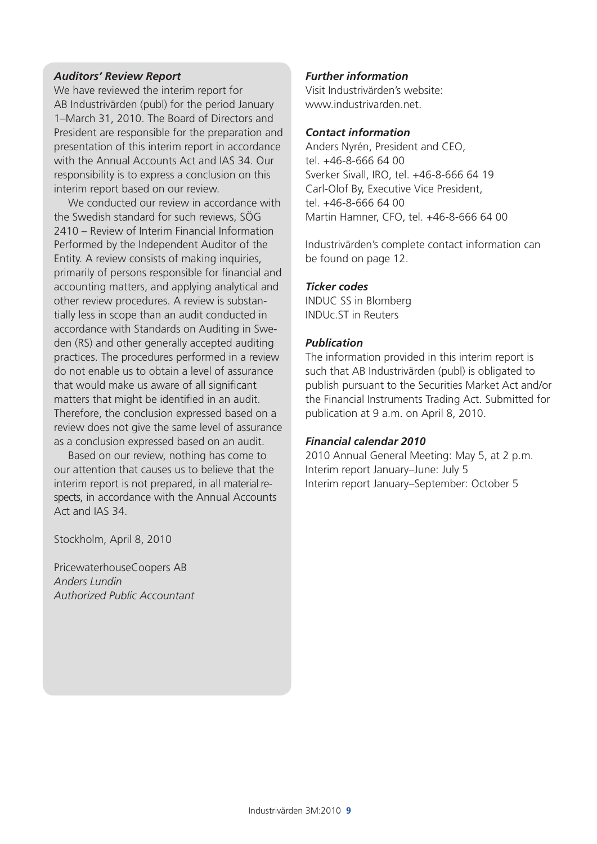### *Auditors' Review Report*

We have reviewed the interim report for AB Industrivärden (publ) for the period January 1–March 31, 2010. The Board of Directors and President are responsible for the preparation and presentation of this interim report in accordance with the Annual Accounts Act and IAS 34. Our responsibility is to express a conclusion on this interim report based on our review.

We conducted our review in accordance with the Swedish standard for such reviews, SÖG 2410 – Review of Interim Financial Information Performed by the Independent Auditor of the Entity. A review consists of making inquiries, primarily of persons responsible for financial and accounting matters, and applying analytical and other review procedures. A review is substantially less in scope than an audit conducted in accordance with Standards on Auditing in Sweden (RS) and other generally accepted auditing practices. The procedures performed in a review do not enable us to obtain a level of assurance that would make us aware of all significant matters that might be identified in an audit. Therefore, the conclusion expressed based on a review does not give the same level of assurance as a conclusion expressed based on an audit.

Based on our review, nothing has come to our attention that causes us to believe that the interim report is not prepared, in all material respects, in accordance with the Annual Accounts Act and IAS 34.

Stockholm, April 8, 2010

PricewaterhouseCoopers AB *Anders Lundin Authorized Public Accountant*

### *Further information*

Visit Industrivärden's website: www.industrivarden.net.

#### *Contact information*

Anders Nyrén, President and CEO, tel. +46-8-666 64 00 Sverker Sivall, IRO, tel. +46-8-666 64 19 Carl-Olof By, Executive Vice President, tel. +46-8-666 64 00 Martin Hamner, CFO, tel. +46-8-666 64 00

Industrivärden's complete contact information can be found on page 12.

### *Ticker codes*

INDUC SS in Blomberg INDUc.ST in Reuters

### *Publication*

The information provided in this interim report is such that AB Industrivärden (publ) is obligated to publish pursuant to the Securities Market Act and/or the Financial Instruments Trading Act. Submitted for publication at 9 a.m. on April 8, 2010.

### *Financial calendar 2010*

2010 Annual General Meeting: May 5, at 2 p.m. Interim report January–June: July 5 Interim report January–September: October 5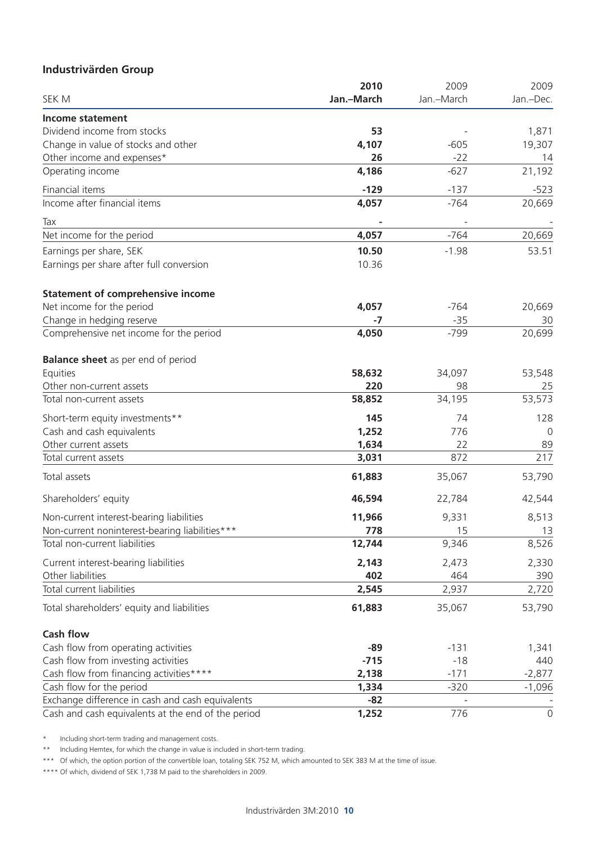### **Industrivärden Group**

|                                                    | 2010       | 2009       | 2009      |
|----------------------------------------------------|------------|------------|-----------|
| SEK M                                              | Jan.-March | Jan.-March | Jan.-Dec. |
| <b>Income statement</b>                            |            |            |           |
| Dividend income from stocks                        | 53         |            | 1,871     |
| Change in value of stocks and other                | 4,107      | $-605$     | 19,307    |
| Other income and expenses*                         | 26         | $-22$      | 14        |
| Operating income                                   | 4,186      | $-627$     | 21,192    |
| Financial items                                    | $-129$     | $-137$     | $-523$    |
| Income after financial items                       | 4,057      | $-764$     | 20,669    |
| Tax                                                |            |            |           |
| Net income for the period                          | 4,057      | $-764$     | 20,669    |
| Earnings per share, SEK                            | 10.50      | $-1.98$    | 53.51     |
| Earnings per share after full conversion           | 10.36      |            |           |
| <b>Statement of comprehensive income</b>           |            |            |           |
| Net income for the period                          | 4,057      | $-764$     | 20,669    |
| Change in hedging reserve                          | -7         | $-35$      | 30        |
| Comprehensive net income for the period            | 4,050      | $-799$     | 20,699    |
| <b>Balance sheet</b> as per end of period          |            |            |           |
| Equities                                           | 58,632     | 34,097     | 53,548    |
| Other non-current assets                           | 220        | 98         | 25        |
| Total non-current assets                           | 58,852     | 34,195     | 53,573    |
| Short-term equity investments**                    | 145        | 74         | 128       |
| Cash and cash equivalents                          | 1,252      | 776        | 0         |
| Other current assets                               | 1,634      | 22         | 89        |
| Total current assets                               | 3,031      | 872        | 217       |
| Total assets                                       | 61,883     | 35,067     | 53,790    |
| Shareholders' equity                               | 46,594     | 22,784     | 42,544    |
| Non-current interest-bearing liabilities           | 11,966     | 9,331      | 8,513     |
| Non-current noninterest-bearing liabilities***     | 778        | 15         | 13        |
| Total non-current liabilities                      | 12,744     | 9,346      | 8,526     |
| Current interest-bearing liabilities               | 2,143      | 2,473      | 2,330     |
| Other liabilities                                  | 402        | 464        | 390       |
| Total current liabilities                          | 2,545      | 2,937      | 2,720     |
| Total shareholders' equity and liabilities         | 61,883     | 35,067     | 53,790    |
| <b>Cash flow</b>                                   |            |            |           |
| Cash flow from operating activities                | $-89$      | $-131$     | 1,341     |
| Cash flow from investing activities                | $-715$     | $-18$      | 440       |
| Cash flow from financing activities****            | 2,138      | $-171$     | $-2,877$  |
| Cash flow for the period                           | 1,334      | $-320$     | $-1,096$  |
| Exchange difference in cash and cash equivalents   | $-82$      |            |           |
| Cash and cash equivalents at the end of the period | 1,252      | 776        | 0         |

\* Including short-term trading and management costs.

\*\* Including Hemtex, for which the change in value is included in short-term trading.

\*\*\* Of which, the option portion of the convertible loan, totaling SEK 752 M, which amounted to SEK 383 M at the time of issue.

\*\*\*\* Of which, dividend of SEK 1,738 M paid to the shareholders in 2009.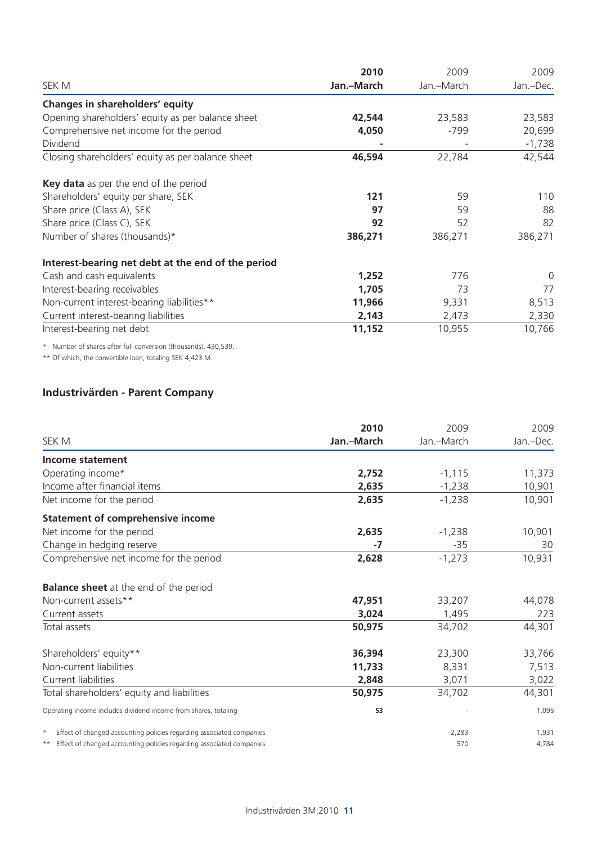|                                                    | 2010       | 2009       | 2009      |  |
|----------------------------------------------------|------------|------------|-----------|--|
| SEK M                                              | Jan.-March | Jan.-March | Jan.-Dec. |  |
| Changes in shareholders' equity                    |            |            |           |  |
| Opening shareholders' equity as per balance sheet  | 42,544     | 23,583     | 23,583    |  |
| Comprehensive net income for the period            | 4,050      | -799       | 20,699    |  |
| Dividend                                           |            |            | $-1,738$  |  |
| Closing shareholders' equity as per balance sheet  | 46,594     | 22,784     | 42,544    |  |
| Key data as per the end of the period              |            |            |           |  |
| Shareholders' equity per share, SEK                | 121        | 59         | 110       |  |
| Share price (Class A), SEK                         | 97         | 59         | 88        |  |
| Share price (Class C), SEK                         | 92         | 52         | 82        |  |
| Number of shares (thousands)*                      | 386,271    | 386,271    | 386,271   |  |
| Interest-bearing net debt at the end of the period |            |            |           |  |
| Cash and cash equivalents                          | 1,252      | 776        | 0         |  |
| Interest-bearing receivables                       | 1,705      | 73         | 77        |  |
| Non-current interest-bearing liabilities**         | 11,966     | 9,331      | 8,513     |  |
| Current interest-bearing liabilities               | 2,143      | 2,473      | 2,330     |  |
| Interest-bearing net debt                          | 11,152     | 10,955     | 10,766    |  |

\* Number of shares after full conversion (thousands), 430,539.

\*\* Of which, the convertible loan, totaling SEK 4,423 M.

### **Industrivärden - Parent Company**

|                                                                                 | 2010       | 2009       | 2009      |
|---------------------------------------------------------------------------------|------------|------------|-----------|
| SEK M                                                                           | Jan.-March | Jan.-March | Jan.-Dec. |
| Income statement                                                                |            |            |           |
| Operating income*                                                               | 2,752      | $-1,115$   | 11,373    |
| Income after financial items                                                    | 2,635      | $-1,238$   | 10,901    |
| Net income for the period                                                       | 2,635      | $-1,238$   | 10,901    |
| <b>Statement of comprehensive income</b>                                        |            |            |           |
| Net income for the period                                                       | 2,635      | $-1,238$   | 10,901    |
| Change in hedging reserve                                                       | -7         | $-35$      | 30        |
| Comprehensive net income for the period                                         | 2,628      | $-1,273$   | 10,931    |
| <b>Balance sheet</b> at the end of the period                                   |            |            |           |
| Non-current assets**                                                            | 47,951     | 33,207     | 44,078    |
| Current assets                                                                  | 3,024      | 1,495      | 223       |
| Total assets                                                                    | 50,975     | 34,702     | 44,301    |
| Shareholders' equity**                                                          | 36,394     | 23,300     | 33,766    |
| Non-current liabilities                                                         | 11,733     | 8,331      | 7,513     |
| Current liabilities                                                             | 2,848      | 3,071      | 3,022     |
| Total shareholders' equity and liabilities                                      | 50,975     | 34,702     | 44,301    |
| Operating income includes dividend income from shares, totaling                 | 53         |            | 1,095     |
| Effect of changed accounting policies regarding associated companies<br>$\star$ |            | $-2,283$   | 1,931     |
| ** Effect of changed accounting policies regarding associated companies         |            | 570        | 4,784     |